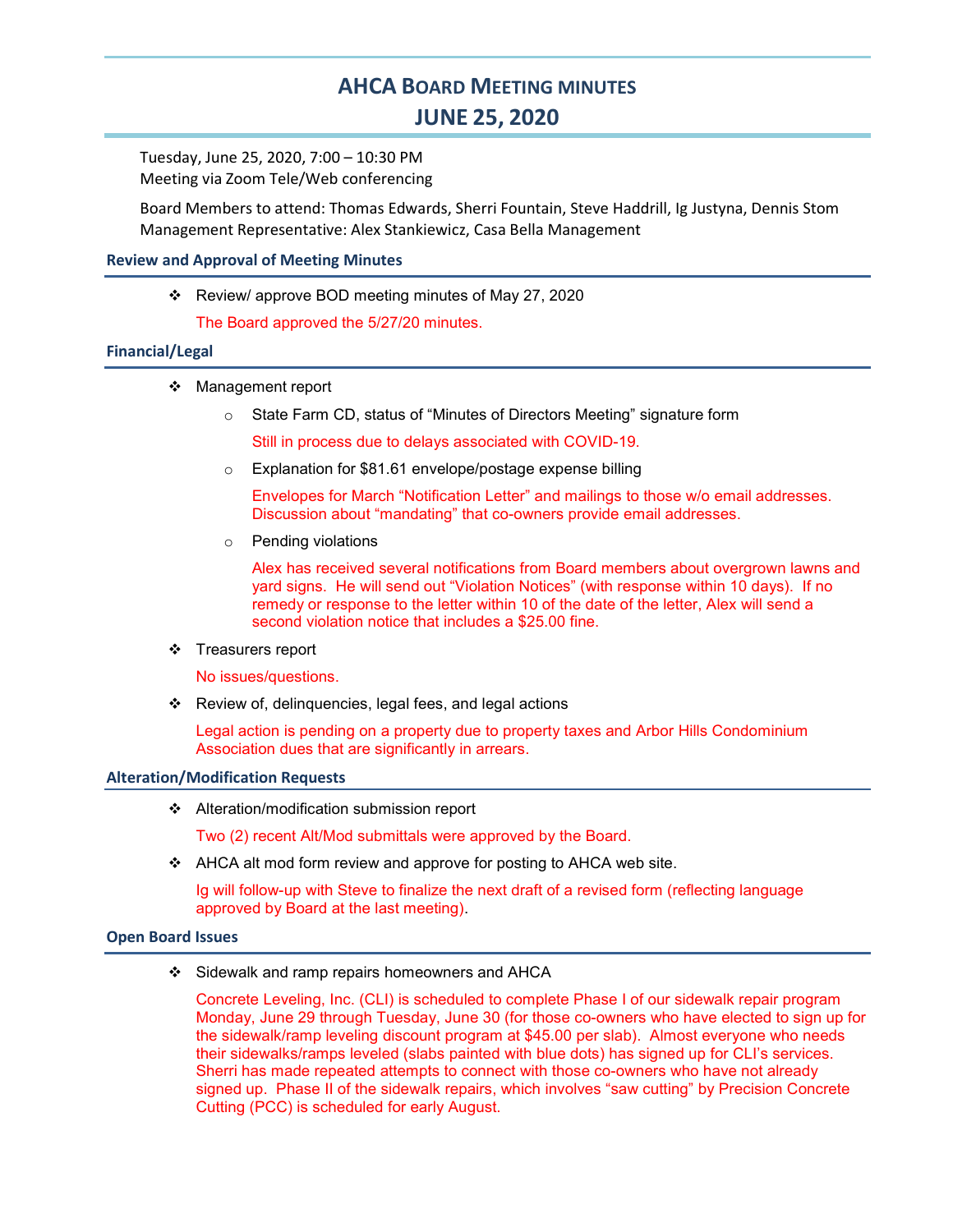# AHCA BOARD MEETING MINUTES JUNE 25, 2020

Tuesday, June 25, 2020, 7:00 – 10:30 PM Meeting via Zoom Tele/Web conferencing

Board Members to attend: Thomas Edwards, Sherri Fountain, Steve Haddrill, Ig Justyna, Dennis Stom Management Representative: Alex Stankiewicz, Casa Bella Management

## Review and Approval of Meeting Minutes

Review/ approve BOD meeting minutes of May 27, 2020

The Board approved the 5/27/20 minutes.

# Financial/Legal

- Management report
	- $\circ$  State Farm CD, status of "Minutes of Directors Meeting" signature form

Still in process due to delays associated with COVID-19.

o Explanation for \$81.61 envelope/postage expense billing

Envelopes for March "Notification Letter" and mailings to those w/o email addresses. Discussion about "mandating" that co-owners provide email addresses.

o Pending violations

Alex has received several notifications from Board members about overgrown lawns and yard signs. He will send out "Violation Notices" (with response within 10 days). If no remedy or response to the letter within 10 of the date of the letter, Alex will send a second violation notice that includes a \$25.00 fine.

❖ Treasurers report

No issues/questions.

Review of, delinquencies, legal fees, and legal actions

Legal action is pending on a property due to property taxes and Arbor Hills Condominium Association dues that are significantly in arrears.

#### Alteration/Modification Requests

❖ Alteration/modification submission report

Two (2) recent Alt/Mod submittals were approved by the Board.

❖ AHCA alt mod form review and approve for posting to AHCA web site.

Ig will follow-up with Steve to finalize the next draft of a revised form (reflecting language approved by Board at the last meeting).

#### Open Board Issues

Sidewalk and ramp repairs homeowners and AHCA

Concrete Leveling, Inc. (CLI) is scheduled to complete Phase I of our sidewalk repair program Monday, June 29 through Tuesday, June 30 (for those co-owners who have elected to sign up for the sidewalk/ramp leveling discount program at \$45.00 per slab). Almost everyone who needs their sidewalks/ramps leveled (slabs painted with blue dots) has signed up for CLI's services. Sherri has made repeated attempts to connect with those co-owners who have not already signed up. Phase II of the sidewalk repairs, which involves "saw cutting" by Precision Concrete Cutting (PCC) is scheduled for early August.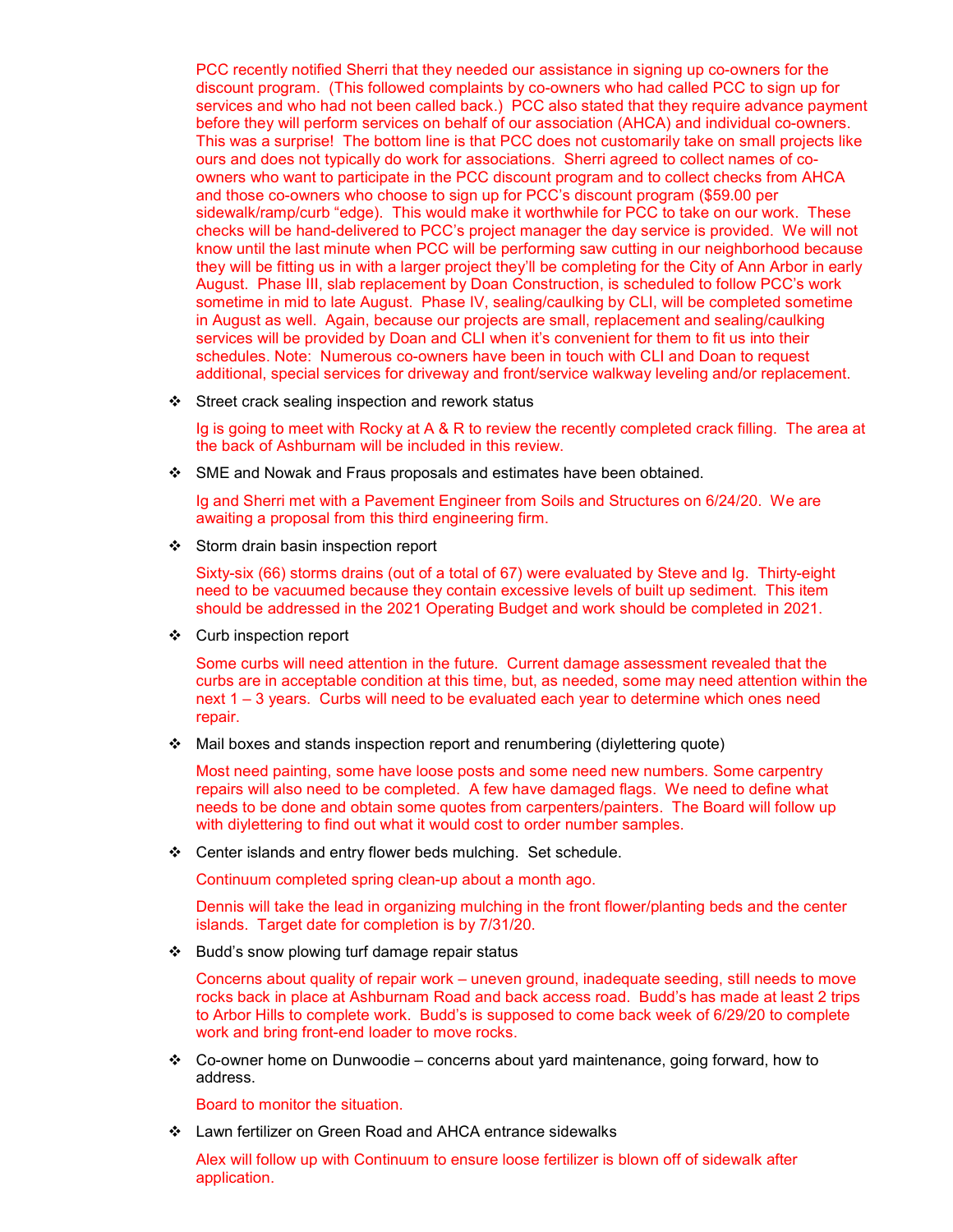PCC recently notified Sherri that they needed our assistance in signing up co-owners for the discount program. (This followed complaints by co-owners who had called PCC to sign up for services and who had not been called back.) PCC also stated that they require advance payment before they will perform services on behalf of our association (AHCA) and individual co-owners. This was a surprise! The bottom line is that PCC does not customarily take on small projects like ours and does not typically do work for associations. Sherri agreed to collect names of coowners who want to participate in the PCC discount program and to collect checks from AHCA and those co-owners who choose to sign up for PCC's discount program (\$59.00 per sidewalk/ramp/curb "edge). This would make it worthwhile for PCC to take on our work. These checks will be hand-delivered to PCC's project manager the day service is provided. We will not know until the last minute when PCC will be performing saw cutting in our neighborhood because they will be fitting us in with a larger project they'll be completing for the City of Ann Arbor in early August. Phase III, slab replacement by Doan Construction, is scheduled to follow PCC's work sometime in mid to late August. Phase IV, sealing/caulking by CLI, will be completed sometime in August as well. Again, because our projects are small, replacement and sealing/caulking services will be provided by Doan and CLI when it's convenient for them to fit us into their schedules. Note: Numerous co-owners have been in touch with CLI and Doan to request additional, special services for driveway and front/service walkway leveling and/or replacement.

Street crack sealing inspection and rework status

Ig is going to meet with Rocky at A & R to review the recently completed crack filling. The area at the back of Ashburnam will be included in this review.

SME and Nowak and Fraus proposals and estimates have been obtained.

Ig and Sherri met with a Pavement Engineer from Soils and Structures on 6/24/20. We are awaiting a proposal from this third engineering firm.

❖ Storm drain basin inspection report

Sixty-six (66) storms drains (out of a total of 67) were evaluated by Steve and Ig. Thirty-eight need to be vacuumed because they contain excessive levels of built up sediment. This item should be addressed in the 2021 Operating Budget and work should be completed in 2021.

Curb inspection report

Some curbs will need attention in the future. Current damage assessment revealed that the curbs are in acceptable condition at this time, but, as needed, some may need attention within the next 1 – 3 years. Curbs will need to be evaluated each year to determine which ones need repair.

Mail boxes and stands inspection report and renumbering (diylettering quote)

Most need painting, some have loose posts and some need new numbers. Some carpentry repairs will also need to be completed. A few have damaged flags. We need to define what needs to be done and obtain some quotes from carpenters/painters. The Board will follow up with divlettering to find out what it would cost to order number samples.

Center islands and entry flower beds mulching. Set schedule.

Continuum completed spring clean-up about a month ago.

Dennis will take the lead in organizing mulching in the front flower/planting beds and the center islands. Target date for completion is by 7/31/20.

Budd's snow plowing turf damage repair status

Concerns about quality of repair work – uneven ground, inadequate seeding, still needs to move rocks back in place at Ashburnam Road and back access road. Budd's has made at least 2 trips to Arbor Hills to complete work. Budd's is supposed to come back week of 6/29/20 to complete work and bring front-end loader to move rocks.

 Co-owner home on Dunwoodie – concerns about yard maintenance, going forward, how to address.

Board to monitor the situation.

Lawn fertilizer on Green Road and AHCA entrance sidewalks

Alex will follow up with Continuum to ensure loose fertilizer is blown off of sidewalk after application.